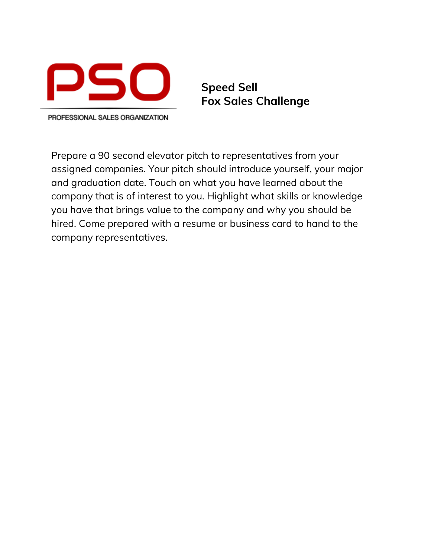

**Speed Sell Fox Sales Challenge**

PROFESSIONAL SALES ORGANIZATION

Prepare a 90 second elevator pitch to representatives from your assigned companies. Your pitch should introduce yourself, your major and graduation date. Touch on what you have learned about the company that is of interest to you. Highlight what skills or knowledge you have that brings value to the company and why you should be hired. Come prepared with a resume or business card to hand to the company representatives.